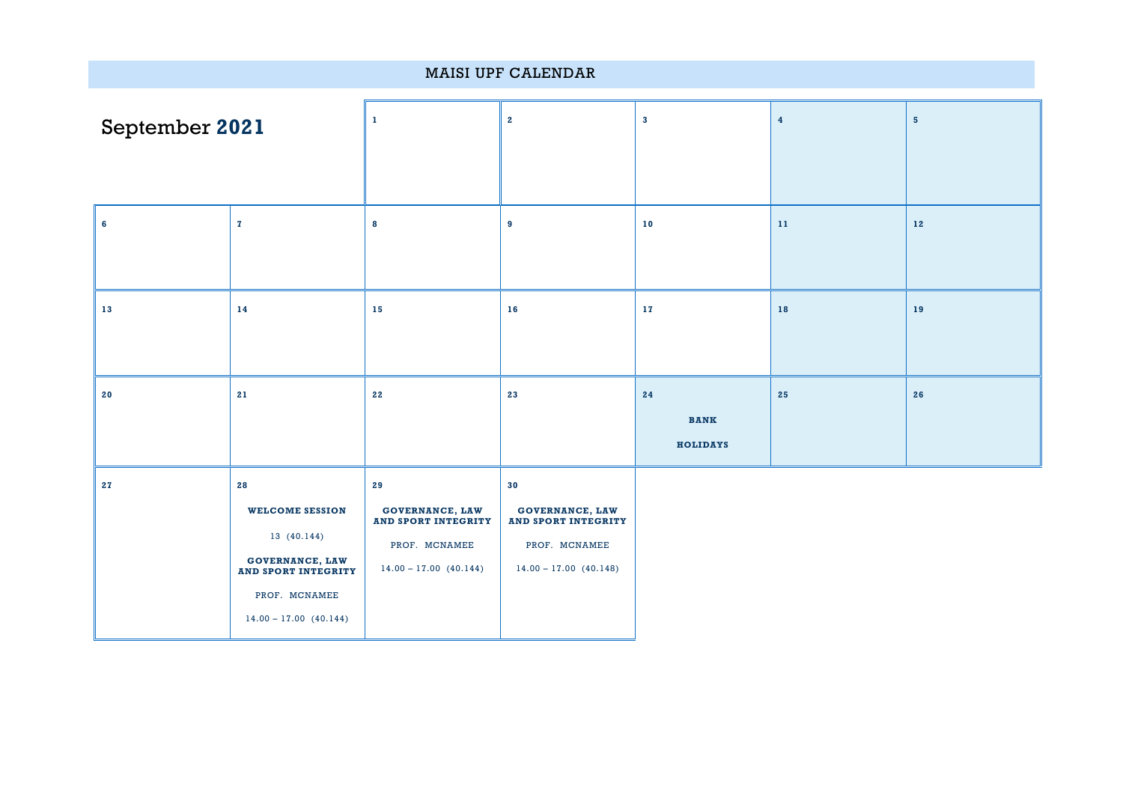| MAISI UPF CALENDAR |                                                                                                                                                    |                                                                                                                 |                                                                                                  |                                      |                         |                |  |
|--------------------|----------------------------------------------------------------------------------------------------------------------------------------------------|-----------------------------------------------------------------------------------------------------------------|--------------------------------------------------------------------------------------------------|--------------------------------------|-------------------------|----------------|--|
| September 2021     |                                                                                                                                                    | 1                                                                                                               | $\mathbf{2}$                                                                                     | $\mathbf{3}$                         | $\overline{\mathbf{4}}$ | 5 <sup>5</sup> |  |
| $6\phantom{a}$     | $\mathbf{z}$                                                                                                                                       | 8                                                                                                               | 9                                                                                                | $10$                                 | $11\,$                  | $\bf 12$       |  |
| 13                 | 14                                                                                                                                                 | 15                                                                                                              | 16                                                                                               | $17\,$                               | 18                      | 19             |  |
| 20                 | 21                                                                                                                                                 | 22                                                                                                              | 23                                                                                               | 24<br><b>BANK</b><br><b>HOLIDAYS</b> | 25                      | 26             |  |
| 27                 | ${\bf 28}$<br><b>WELCOME SESSION</b><br>13 (40.144)<br><b>GOVERNANCE, LAW<br/>AND SPORT INTEGRITY</b><br>PROF. MCNAMEE<br>$14.00 - 17.00$ (40.144) | ${\bf 29}$<br><b>GOVERNANCE, LAW</b><br><b>AND SPORT INTEGRITY</b><br>PROF. MCNAMEE<br>$14.00 - 17.00$ (40.144) | 30<br>GOVERNANCE, LAW<br><b>AND SPORT INTEGRITY</b><br>PROF. MCNAMEE<br>$14.00 - 17.00$ (40.148) |                                      |                         |                |  |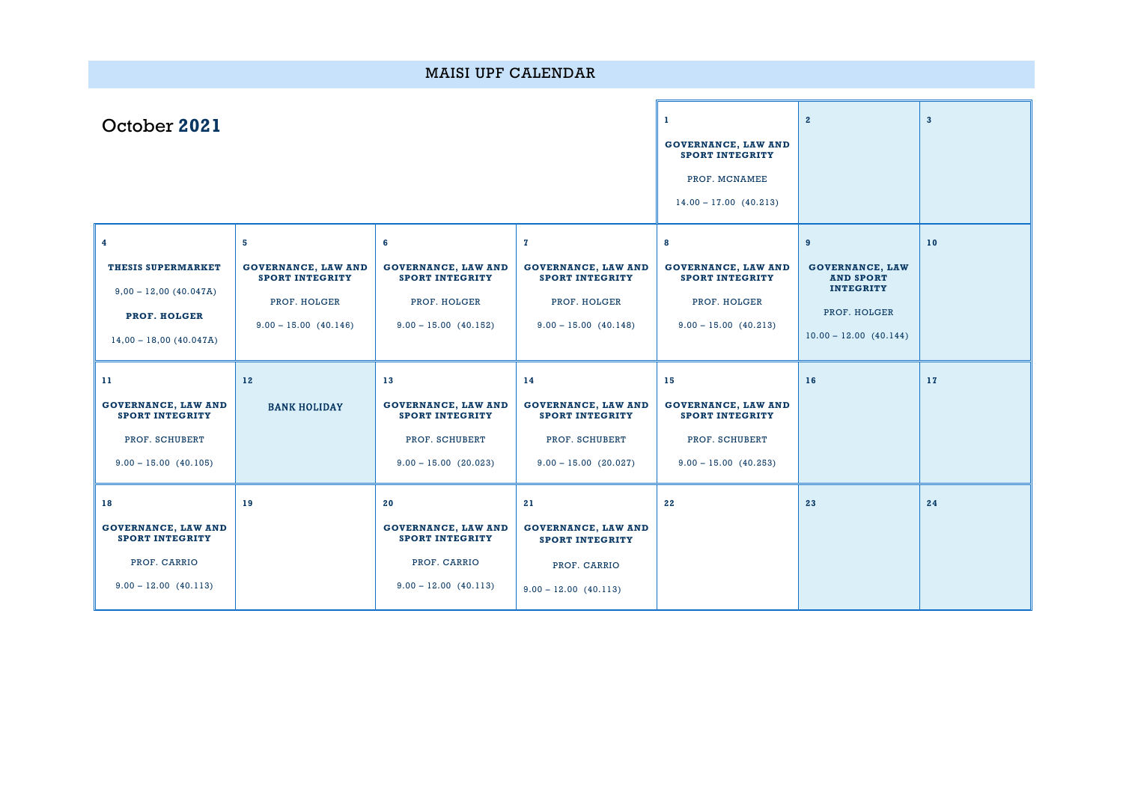| <b>MAISI UPF CALENDAR</b>                                                                                                            |                                                                                                      |                                                                                                         |                                                                                                                 |                                                                                                         |                                                                                                                 |    |  |  |
|--------------------------------------------------------------------------------------------------------------------------------------|------------------------------------------------------------------------------------------------------|---------------------------------------------------------------------------------------------------------|-----------------------------------------------------------------------------------------------------------------|---------------------------------------------------------------------------------------------------------|-----------------------------------------------------------------------------------------------------------------|----|--|--|
| October 2021                                                                                                                         |                                                                                                      | л.<br><b>GOVERNANCE, LAW AND</b><br><b>SPORT INTEGRITY</b><br>PROF. MCNAMEE<br>$14.00 - 17.00$ (40.213) | $2^{\circ}$                                                                                                     | $\overline{\mathbf{3}}$                                                                                 |                                                                                                                 |    |  |  |
| $\overline{\mathbf{4}}$<br><b>THESIS SUPERMARKET</b><br>$9,00 - 12,00 (40.047A)$<br><b>PROF. HOLGER</b><br>$14,00 - 18,00 (40.047A)$ | 5<br><b>GOVERNANCE, LAW AND</b><br><b>SPORT INTEGRITY</b><br>PROF. HOLGER<br>$9.00 - 15.00$ (40.146) | 6<br><b>GOVERNANCE, LAW AND</b><br><b>SPORT INTEGRITY</b><br>PROF. HOLGER<br>$9.00 - 15.00$ (40.152)    | $\mathbf{z}$<br><b>GOVERNANCE, LAW AND</b><br><b>SPORT INTEGRITY</b><br>PROF. HOLGER<br>$9.00 - 15.00$ (40.148) | 8<br><b>GOVERNANCE, LAW AND</b><br><b>SPORT INTEGRITY</b><br>PROF. HOLGER<br>$9.00 - 15.00$ (40.213)    | 9<br><b>GOVERNANCE, LAW</b><br><b>AND SPORT</b><br><b>INTEGRITY</b><br>PROF. HOLGER<br>$10.00 - 12.00$ (40.144) | 10 |  |  |
| 11<br><b>GOVERNANCE, LAW AND</b><br><b>SPORT INTEGRITY</b><br>PROF. SCHUBERT<br>$9.00 - 15.00$ (40.105)                              | 12<br><b>BANK HOLIDAY</b>                                                                            | 13<br><b>GOVERNANCE, LAW AND</b><br><b>SPORT INTEGRITY</b><br>PROF. SCHUBERT<br>$9.00 - 15.00$ (20.023) | 14<br><b>GOVERNANCE, LAW AND</b><br><b>SPORT INTEGRITY</b><br>PROF. SCHUBERT<br>$9.00 - 15.00$ (20.027)         | 15<br><b>GOVERNANCE, LAW AND</b><br><b>SPORT INTEGRITY</b><br>PROF. SCHUBERT<br>$9.00 - 15.00$ (40.253) | 16                                                                                                              | 17 |  |  |
| 18<br><b>GOVERNANCE, LAW AND</b><br><b>SPORT INTEGRITY</b><br>PROF. CARRIO<br>$9.00 - 12.00$ (40.113)                                | 19                                                                                                   | 20<br><b>GOVERNANCE, LAW AND</b><br><b>SPORT INTEGRITY</b><br>PROF. CARRIO<br>$9.00 - 12.00$ (40.113)   | 21<br><b>GOVERNANCE, LAW AND</b><br><b>SPORT INTEGRITY</b><br>PROF. CARRIO<br>$9.00 - 12.00$ (40.113)           | 22                                                                                                      | 23                                                                                                              | 24 |  |  |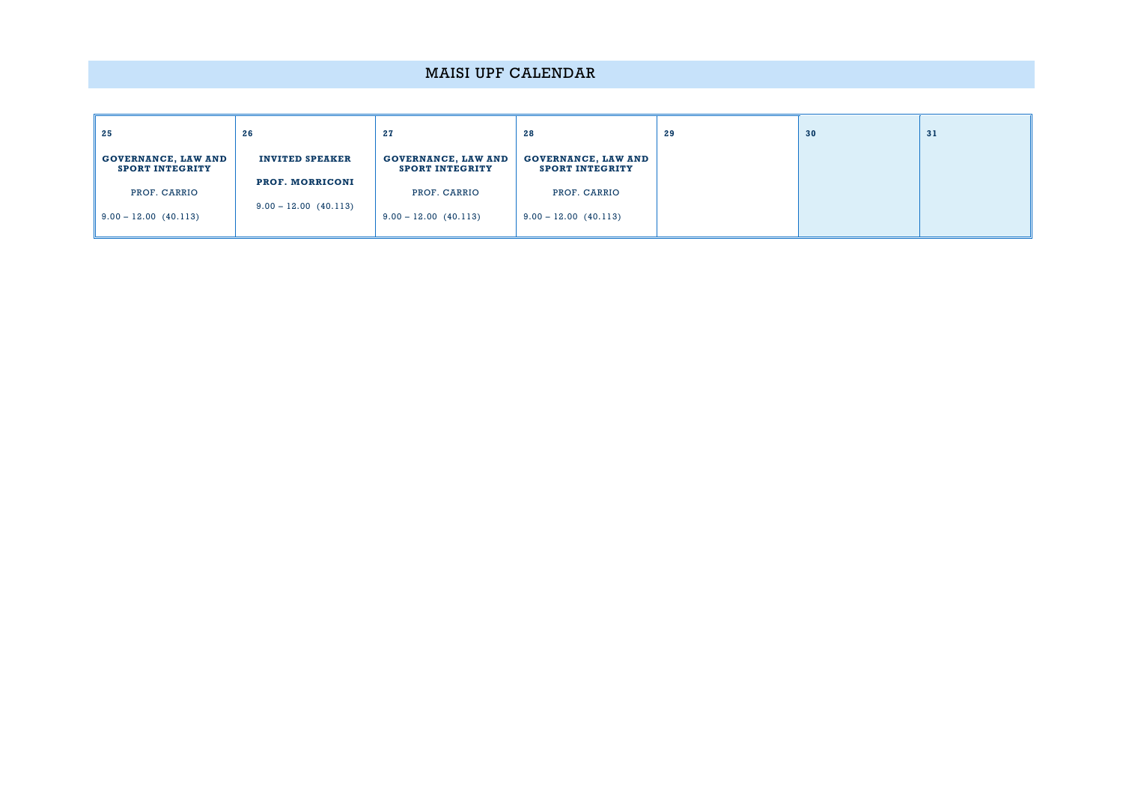## MAISI UPF CALENDAR

| 25                                            | 26                      | 27                                                   | 28                                                   | 29 | 30 | 31 |
|-----------------------------------------------|-------------------------|------------------------------------------------------|------------------------------------------------------|----|----|----|
| GOVERNANCE, LAW AND<br><b>SPORT INTEGRITY</b> | <b>INVITED SPEAKER</b>  | <b>GOVERNANCE, LAW AND</b><br><b>SPORT INTEGRITY</b> | <b>GOVERNANCE, LAW AND</b><br><b>SPORT INTEGRITY</b> |    |    |    |
| PROF. CARRIO                                  | <b>PROF. MORRICONI</b>  | PROF. CARRIO                                         | PROF. CARRIO                                         |    |    |    |
| $9.00 - 12.00 (40.113)$                       | $9.00 - 12.00$ (40.113) | $9.00 - 12.00$ (40.113)                              | $9.00 - 12.00$ (40.113)                              |    |    |    |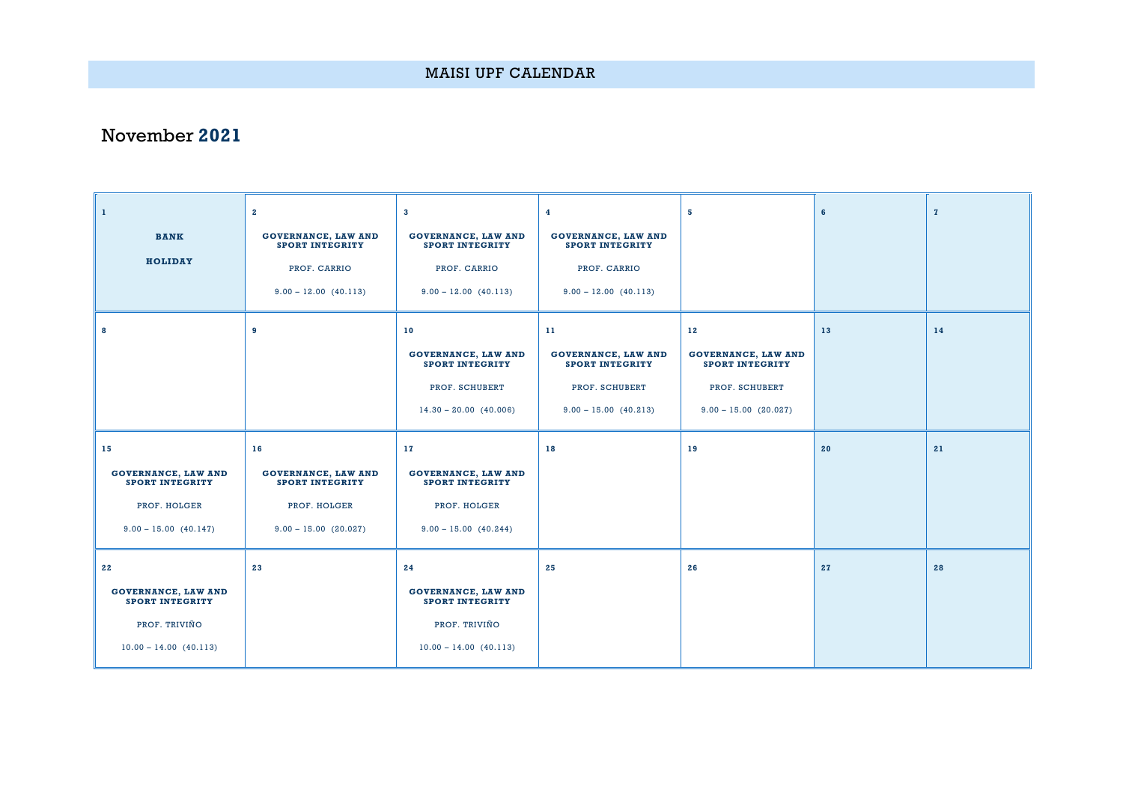## November **2021**

| $\mathbf{1}$                                         | $\mathbf{2}$                                         | $\mathbf{3}$                                         | 4                                                    | 5                                                    | $6\phantom{1}$ | $\mathbf{z}$ |
|------------------------------------------------------|------------------------------------------------------|------------------------------------------------------|------------------------------------------------------|------------------------------------------------------|----------------|--------------|
| <b>BANK</b>                                          | <b>GOVERNANCE, LAW AND</b><br><b>SPORT INTEGRITY</b> | <b>GOVERNANCE, LAW AND</b><br><b>SPORT INTEGRITY</b> | <b>GOVERNANCE, LAW AND</b><br><b>SPORT INTEGRITY</b> |                                                      |                |              |
| <b>HOLIDAY</b>                                       | PROF. CARRIO                                         | PROF. CARRIO                                         | PROF. CARRIO                                         |                                                      |                |              |
|                                                      | $9.00 - 12.00$ (40.113)                              | $9.00 - 12.00$ (40.113)                              | $9.00 - 12.00 (40.113)$                              |                                                      |                |              |
| 8                                                    | 9                                                    | 10                                                   | 11                                                   | 12                                                   | 13             | 14           |
|                                                      |                                                      | <b>GOVERNANCE, LAW AND</b><br><b>SPORT INTEGRITY</b> | <b>GOVERNANCE, LAW AND</b><br><b>SPORT INTEGRITY</b> | <b>GOVERNANCE, LAW AND</b><br><b>SPORT INTEGRITY</b> |                |              |
|                                                      |                                                      | PROF. SCHUBERT                                       | PROF. SCHUBERT                                       | PROF. SCHUBERT                                       |                |              |
|                                                      |                                                      | $14.30 - 20.00$ (40.006)                             | $9.00 - 15.00$ (40.213)                              | $9.00 - 15.00$ (20.027)                              |                |              |
|                                                      |                                                      |                                                      |                                                      |                                                      |                |              |
| 15                                                   | 16                                                   | 17                                                   | 18                                                   | 19                                                   | 20             | 21           |
| <b>GOVERNANCE, LAW AND</b><br><b>SPORT INTEGRITY</b> | <b>GOVERNANCE, LAW AND</b><br><b>SPORT INTEGRITY</b> | <b>GOVERNANCE, LAW AND</b><br><b>SPORT INTEGRITY</b> |                                                      |                                                      |                |              |
| PROF. HOLGER                                         | PROF. HOLGER                                         | PROF. HOLGER                                         |                                                      |                                                      |                |              |
| $9.00 - 15.00 (40.147)$                              | $9.00 - 15.00$ (20.027)                              | $9.00 - 15.00$ (40.244)                              |                                                      |                                                      |                |              |
| 22                                                   | 23                                                   | 24                                                   | 25                                                   | 26                                                   | 27             | 28           |
| <b>GOVERNANCE, LAW AND</b><br><b>SPORT INTEGRITY</b> |                                                      | <b>GOVERNANCE, LAW AND</b><br><b>SPORT INTEGRITY</b> |                                                      |                                                      |                |              |
| PROF. TRIVIÑO                                        |                                                      | PROF. TRIVIÑO                                        |                                                      |                                                      |                |              |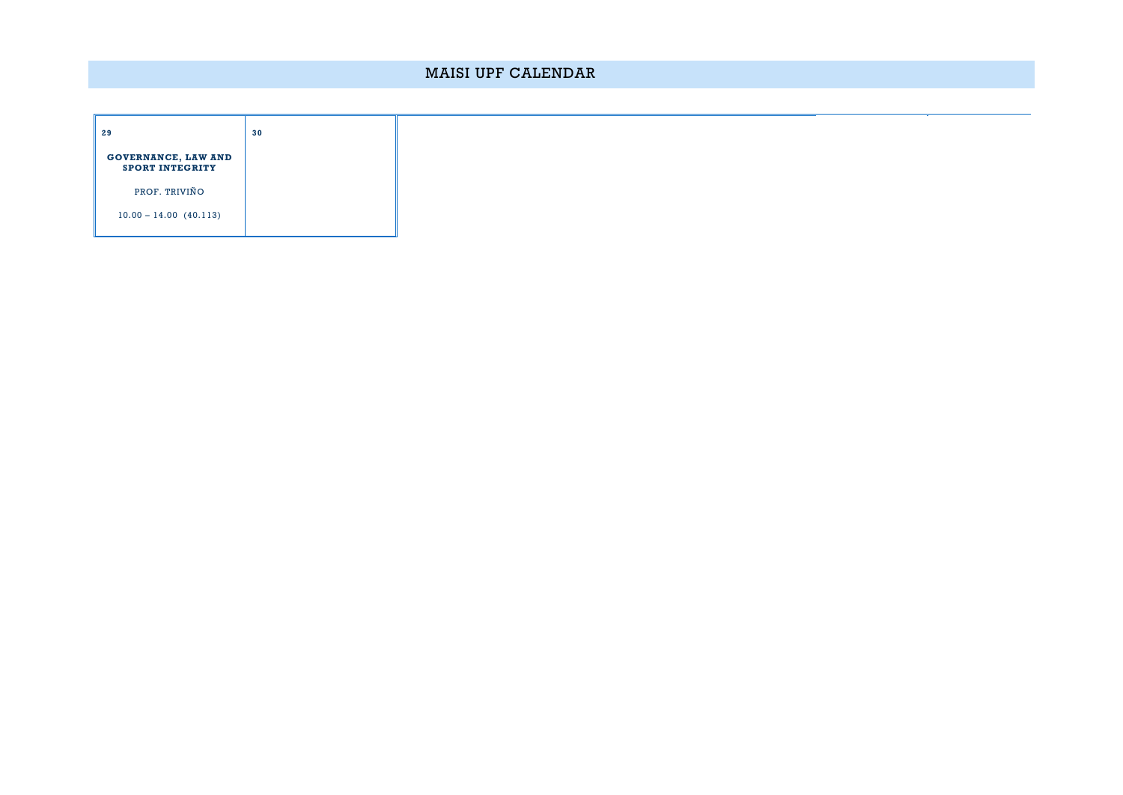## MAISI UPF CALENDAR

| 29                                                   | 30 |
|------------------------------------------------------|----|
| <b>GOVERNANCE, LAW AND</b><br><b>SPORT INTEGRITY</b> |    |
| PROF. TRIVIÑO                                        |    |
| $10.00 - 14.00$ (40.113)                             |    |

÷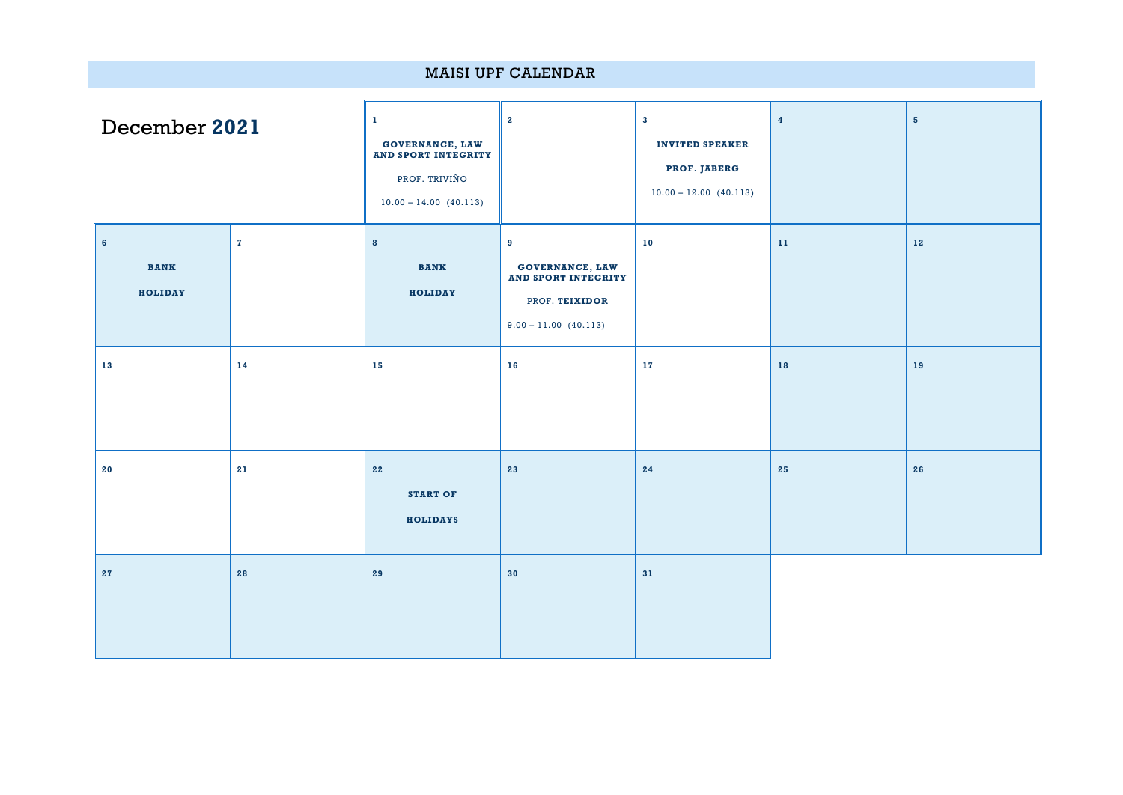| <b>MAISI UPF CALENDAR</b>                |              |                                                                                                  |                                                                                                 |                                                                                    |                         |                |
|------------------------------------------|--------------|--------------------------------------------------------------------------------------------------|-------------------------------------------------------------------------------------------------|------------------------------------------------------------------------------------|-------------------------|----------------|
| December 2021                            |              | 1<br><b>GOVERNANCE, LAW<br/>AND SPORT INTEGRITY</b><br>PROF. TRIVIÑO<br>$10.00 - 14.00 (40.113)$ | $\mathbf{2}$                                                                                    | $\mathbf{3}$<br><b>INVITED SPEAKER</b><br>PROF. JABERG<br>$10.00 - 12.00$ (40.113) | $\overline{\mathbf{4}}$ | $5\phantom{a}$ |
| $6\phantom{a}$<br><b>BANK</b><br>HOLIDAY | $\mathbf{z}$ | $\bf{8}$<br><b>BANK</b><br>HOLIDAY                                                               | 9<br>GOVERNANCE, LAW<br><b>AND SPORT INTEGRITY</b><br>PROF. TEIXIDOR<br>$9.00 - 11.00$ (40.113) | $10$                                                                               | $11\,$                  | 12             |
| 13                                       | 14           | 15                                                                                               | 16                                                                                              | $1\,7$                                                                             | 18                      | 19             |
| 20                                       | 21           | 22<br><b>START OF</b><br><b>HOLIDAYS</b>                                                         | 23                                                                                              | 24                                                                                 | 25                      | 26             |
| 27                                       | 28           | 29                                                                                               | 30                                                                                              | 31                                                                                 |                         |                |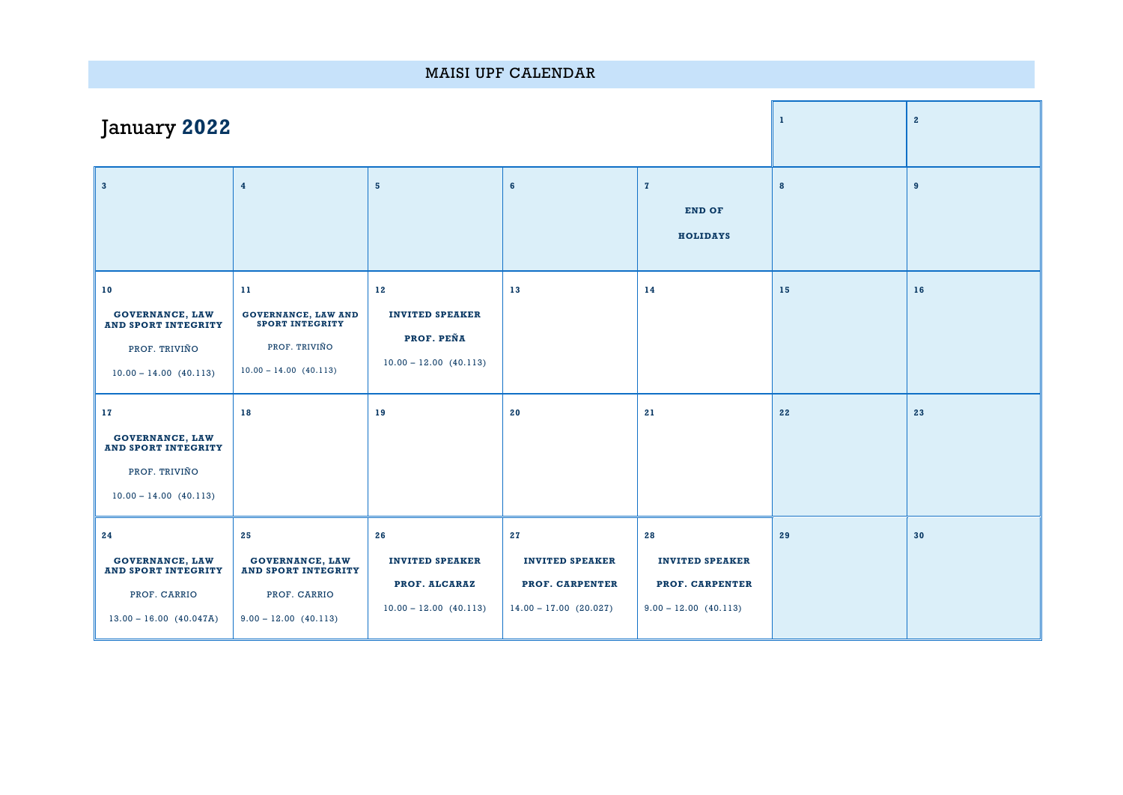| <b>MAISI UPF CALENDAR</b>                                                                               |                                                                                                         |                                                                           |                                                                             |                                                                            |    |    |  |
|---------------------------------------------------------------------------------------------------------|---------------------------------------------------------------------------------------------------------|---------------------------------------------------------------------------|-----------------------------------------------------------------------------|----------------------------------------------------------------------------|----|----|--|
| January 2022                                                                                            |                                                                                                         | $\mathbf 1$                                                               | $\overline{2}$                                                              |                                                                            |    |    |  |
| $\mathbf{3}$                                                                                            | $\overline{\mathbf{4}}$                                                                                 | $5\phantom{a}$                                                            | $6\phantom{a}$                                                              | $\mathbf{z}$<br><b>END OF</b><br><b>HOLIDAYS</b>                           | 8  | 9  |  |
| 10<br><b>GOVERNANCE, LAW</b><br><b>AND SPORT INTEGRITY</b><br>PROF. TRIVIÑO<br>$10.00 - 14.00$ (40.113) | 11<br><b>GOVERNANCE, LAW AND</b><br><b>SPORT INTEGRITY</b><br>PROF. TRIVIÑO<br>$10.00 - 14.00 (40.113)$ | 12<br><b>INVITED SPEAKER</b><br>PROF. PEÑA<br>$10.00 - 12.00 (40.113)$    | 13                                                                          | 14                                                                         | 15 | 16 |  |
| 17<br><b>GOVERNANCE, LAW</b><br><b>AND SPORT INTEGRITY</b><br>PROF. TRIVIÑO<br>$10.00 - 14.00$ (40.113) | 18                                                                                                      | 19                                                                        | 20                                                                          | 21                                                                         | 22 | 23 |  |
| 24<br><b>GOVERNANCE, LAW</b><br><b>AND SPORT INTEGRITY</b><br>PROF. CARRIO<br>$13.00 - 16.00$ (40.047A) | 25<br><b>GOVERNANCE, LAW</b><br><b>AND SPORT INTEGRITY</b><br>PROF. CARRIO<br>$9.00 - 12.00$ (40.113)   | 26<br><b>INVITED SPEAKER</b><br>PROF. ALCARAZ<br>$10.00 - 12.00$ (40.113) | 27<br><b>INVITED SPEAKER</b><br>PROF. CARPENTER<br>$14.00 - 17.00$ (20.027) | 28<br><b>INVITED SPEAKER</b><br>PROF. CARPENTER<br>$9.00 - 12.00$ (40.113) | 29 | 30 |  |